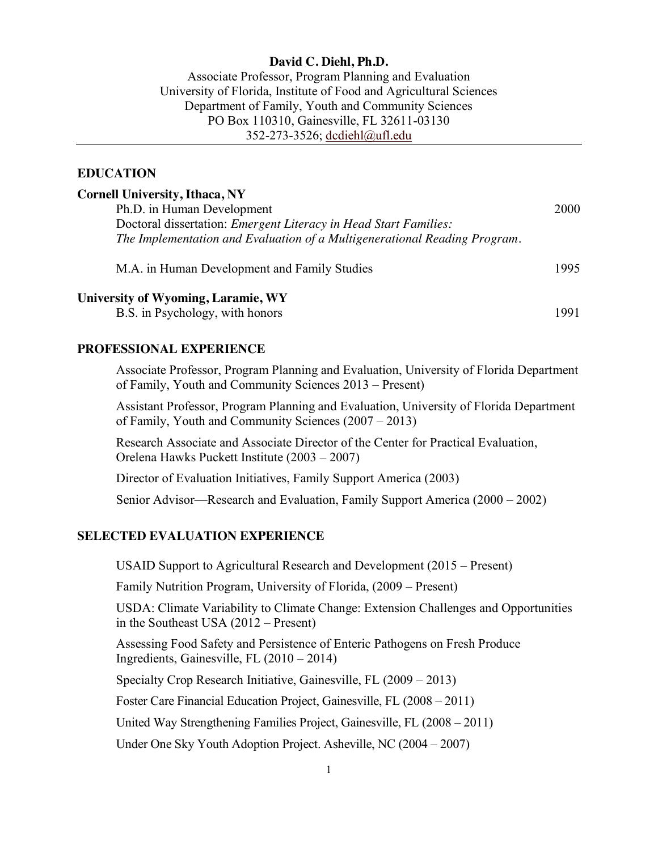# **David C. Diehl, Ph.D.**

Associate Professor, Program Planning and Evaluation University of Florida, Institute of Food and Agricultural Sciences Department of Family, Youth and Community Sciences PO Box 110310, Gainesville, FL 32611-03130 352-273-3526; [dcdiehl@ufl.edu](mailto:dcdiehl@ufl.edu)

#### **EDUCATION**

| <b>Cornell University, Ithaca, NY</b>                                     |      |
|---------------------------------------------------------------------------|------|
| Ph.D. in Human Development                                                | 2000 |
| Doctoral dissertation: Emergent Literacy in Head Start Families:          |      |
| The Implementation and Evaluation of a Multigenerational Reading Program. |      |
| M.A. in Human Development and Family Studies                              | 1995 |
| University of Wyoming, Laramie, WY<br>B.S. in Psychology, with honors     | 1991 |

#### **PROFESSIONAL EXPERIENCE**

Associate Professor, Program Planning and Evaluation, University of Florida Department of Family, Youth and Community Sciences 2013 – Present)

Assistant Professor, Program Planning and Evaluation, University of Florida Department of Family, Youth and Community Sciences (2007 – 2013)

Research Associate and Associate Director of the Center for Practical Evaluation, Orelena Hawks Puckett Institute (2003 – 2007)

Director of Evaluation Initiatives, Family Support America (2003)

Senior Advisor—Research and Evaluation, Family Support America (2000 – 2002)

#### **SELECTED EVALUATION EXPERIENCE**

USAID Support to Agricultural Research and Development (2015 – Present)

Family Nutrition Program, University of Florida, (2009 – Present)

USDA: Climate Variability to Climate Change: Extension Challenges and Opportunities in the Southeast USA (2012 – Present)

Assessing Food Safety and Persistence of Enteric Pathogens on Fresh Produce Ingredients, Gainesville, FL (2010 – 2014)

Specialty Crop Research Initiative, Gainesville, FL (2009 – 2013)

Foster Care Financial Education Project, Gainesville, FL (2008 – 2011)

United Way Strengthening Families Project, Gainesville, FL (2008 – 2011)

Under One Sky Youth Adoption Project. Asheville, NC (2004 – 2007)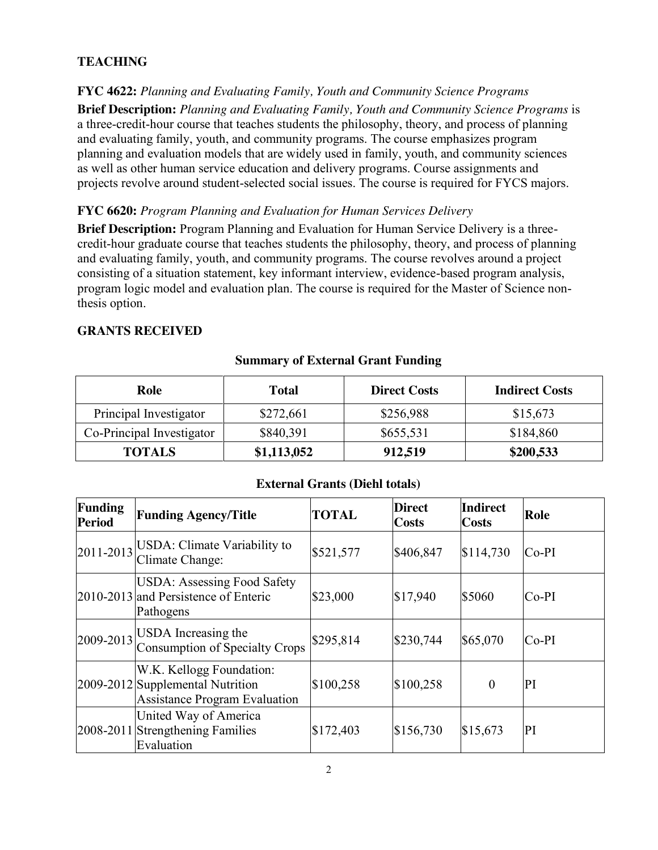# **TEACHING**

**FYC 4622:** *Planning and Evaluating Family, Youth and Community Science Programs* **Brief Description:** *Planning and Evaluating Family, Youth and Community Science Programs* is a three-credit-hour course that teaches students the philosophy, theory, and process of planning and evaluating family, youth, and community programs. The course emphasizes program planning and evaluation models that are widely used in family, youth, and community sciences as well as other human service education and delivery programs. Course assignments and projects revolve around student-selected social issues. The course is required for FYCS majors.

# **FYC 6620:** *Program Planning and Evaluation for Human Services Delivery*

**Brief Description:** Program Planning and Evaluation for Human Service Delivery is a threecredit-hour graduate course that teaches students the philosophy, theory, and process of planning and evaluating family, youth, and community programs. The course revolves around a project consisting of a situation statement, key informant interview, evidence-based program analysis, program logic model and evaluation plan. The course is required for the Master of Science nonthesis option.

# **GRANTS RECEIVED**

# **Summary of External Grant Funding**

| Role                      | <b>Total</b> | <b>Direct Costs</b> | <b>Indirect Costs</b> |
|---------------------------|--------------|---------------------|-----------------------|
| Principal Investigator    | \$272,661    | \$256,988           | \$15,673              |
| Co-Principal Investigator | \$840,391    | \$655,531           | \$184,860             |
| <b>TOTALS</b>             | \$1,113,052  | 912,519             | \$200,533             |

#### **External Grants (Diehl totals)**

| Funding<br><b>Period</b> | <b>Funding Agency/Title</b>                                                                          | <b>TOTAL</b> | <b>Direct</b><br>Costs | <b>Indirect</b><br>Costs | Role    |
|--------------------------|------------------------------------------------------------------------------------------------------|--------------|------------------------|--------------------------|---------|
| 2011-2013                | USDA: Climate Variability to<br>Climate Change:                                                      | \$521,577    | \$406,847              | \$114,730                | $Co-PI$ |
|                          | <b>USDA: Assessing Food Safety</b><br>2010-2013 and Persistence of Enteric<br>Pathogens              | \$23,000     | \$17,940               | \$5060                   | $Co-PI$ |
|                          | $\left  \frac{2009 - 2013}{\sqrt{2}} \right $ USDA Increasing the<br>Consumption of Specialty Crops  | \$295,814    | \$230,744              | \$65,070                 | $Co-PI$ |
|                          | W.K. Kellogg Foundation:<br>2009-2012 Supplemental Nutrition<br><b>Assistance Program Evaluation</b> | \$100,258    | \$100,258              | $\theta$                 | PI      |
|                          | United Way of America<br>2008-2011 Strengthening Families<br>Evaluation                              | \$172,403    | \$156,730              | \$15,673                 | PI      |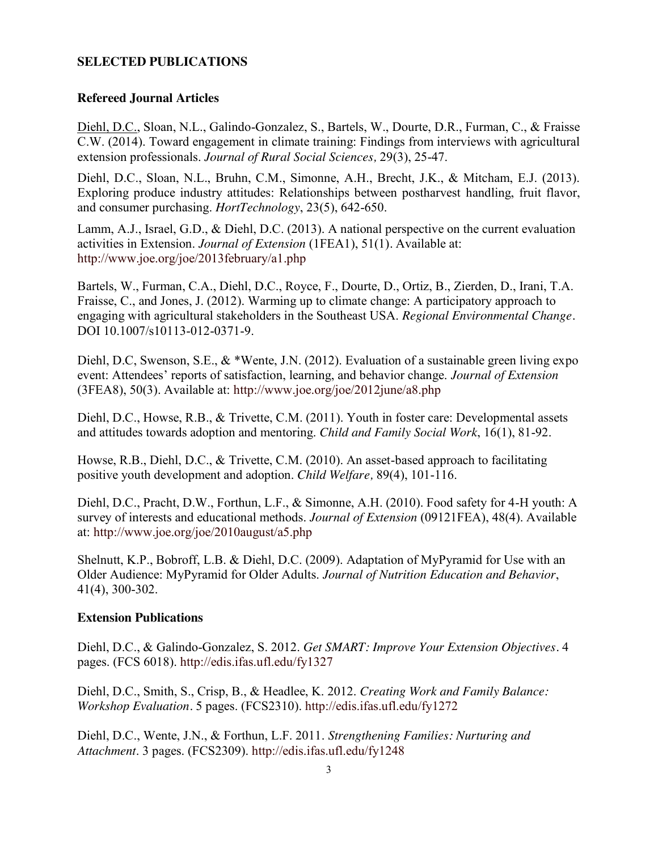# **SELECTED PUBLICATIONS**

### **Refereed Journal Articles**

Diehl, D.C., Sloan, N.L., Galindo-Gonzalez, S., Bartels, W., Dourte, D.R., Furman, C., & Fraisse C.W. (2014). Toward engagement in climate training: Findings from interviews with agricultural extension professionals. *Journal of Rural Social Sciences,* 29(3), 25-47.

Diehl, D.C., Sloan, N.L., Bruhn, C.M., Simonne, A.H., Brecht, J.K., & Mitcham, E.J. (2013). Exploring produce industry attitudes: Relationships between postharvest handling, fruit flavor, and consumer purchasing. *HortTechnology*, 23(5), 642-650.

Lamm, A.J., Israel, G.D., & Diehl, D.C. (2013). A national perspective on the current evaluation activities in Extension. *Journal of Extension* (1FEA1), 51(1)*.* Available at: <http://www.joe.org/joe/2013february/a1.php>

Bartels, W., Furman, C.A., Diehl, D.C., Royce, F., Dourte, D., Ortiz, B., Zierden, D., Irani, T.A. Fraisse, C., and Jones, J. (2012). Warming up to climate change: A participatory approach to engaging with agricultural stakeholders in the Southeast USA. *Regional Environmental Change.* DOI 10.1007/s10113-012-0371-9.

Diehl, D.C, Swenson, S.E., & \*Wente, J.N. (2012). Evaluation of a sustainable green living expo event: Attendees' reports of satisfaction, learning, and behavior change. *Journal of Extension*  (3FEA8), 50(3). Available at:<http://www.joe.org/joe/2012june/a8.php>

Diehl, D.C., Howse, R.B., & Trivette, C.M. (2011). Youth in foster care: Developmental assets and attitudes towards adoption and mentoring. *Child and Family Social Work*, 16(1), 81-92.

Howse, R.B., Diehl, D.C., & Trivette, C.M. (2010). An asset-based approach to facilitating positive youth development and adoption. *Child Welfare,* 89(4), 101-116.

Diehl, D.C., Pracht, D.W., Forthun, L.F., & Simonne, A.H. (2010). Food safety for 4-H youth: A survey of interests and educational methods. *Journal of Extension* (09121FEA), 48(4). Available at:<http://www.joe.org/joe/2010august/a5.php>

Shelnutt, K.P., Bobroff, L.B. & Diehl, D.C. (2009). Adaptation of MyPyramid for Use with an Older Audience: MyPyramid for Older Adults. *Journal of Nutrition Education and Behavior*, 41(4), 300-302.

### **Extension Publications**

Diehl, D.C., & Galindo-Gonzalez, S. 2012. *Get SMART: Improve Your Extension Objectives.* 4 pages. (FCS 6018).<http://edis.ifas.ufl.edu/fy1327>

Diehl, D.C., Smith, S., Crisp, B., & Headlee, K. 2012. *Creating Work and Family Balance: Workshop Evaluation.* 5 pages. (FCS2310).<http://edis.ifas.ufl.edu/fy1272>

Diehl, D.C., Wente, J.N., & Forthun, L.F. 2011. *Strengthening Families: Nurturing and Attachment*. 3 pages. (FCS2309).<http://edis.ifas.ufl.edu/fy1248>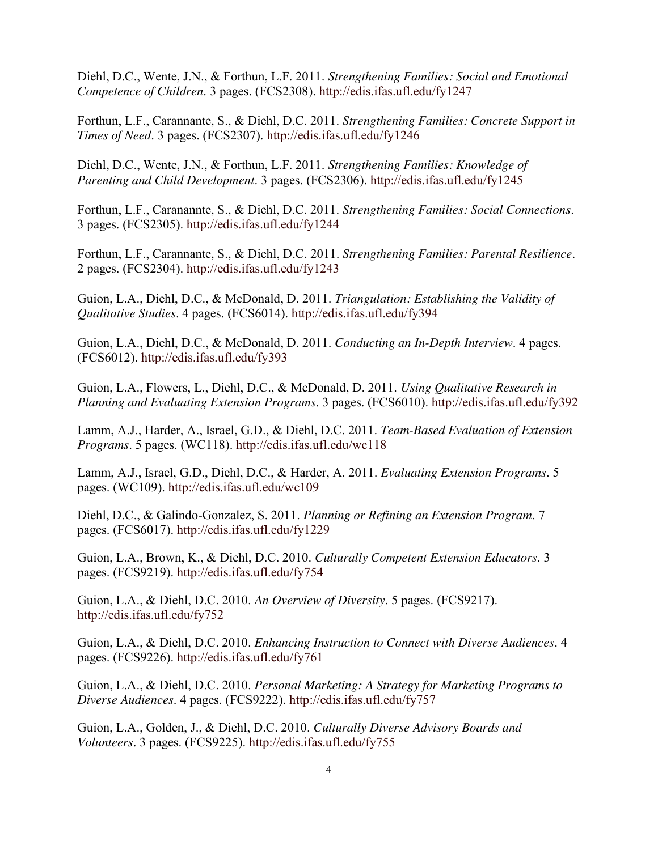Diehl, D.C., Wente, J.N., & Forthun, L.F. 2011. *Strengthening Families: Social and Emotional Competence of Children*. 3 pages. (FCS2308).<http://edis.ifas.ufl.edu/fy1247>

Forthun, L.F., Carannante, S., & Diehl, D.C. 2011. *Strengthening Families: Concrete Support in Times of Need*. 3 pages. (FCS2307).<http://edis.ifas.ufl.edu/fy1246>

Diehl, D.C., Wente, J.N., & Forthun, L.F. 2011. *Strengthening Families: Knowledge of Parenting and Child Development*. 3 pages. (FCS2306).<http://edis.ifas.ufl.edu/fy1245>

Forthun, L.F., Caranannte, S., & Diehl, D.C. 2011. *Strengthening Families: Social Connections*. 3 pages. (FCS2305).<http://edis.ifas.ufl.edu/fy1244>

Forthun, L.F., Carannante, S., & Diehl, D.C. 2011. *Strengthening Families: Parental Resilience*. 2 pages. (FCS2304).<http://edis.ifas.ufl.edu/fy1243>

Guion, L.A., Diehl, D.C., & McDonald, D. 2011. *Triangulation: Establishing the Validity of Qualitative Studies*. 4 pages. (FCS6014).<http://edis.ifas.ufl.edu/fy394>

Guion, L.A., Diehl, D.C., & McDonald, D. 2011. *Conducting an In-Depth Interview*. 4 pages. (FCS6012).<http://edis.ifas.ufl.edu/fy393>

Guion, L.A., Flowers, L., Diehl, D.C., & McDonald, D. 2011. *Using Qualitative Research in Planning and Evaluating Extension Programs*. 3 pages. (FCS6010).<http://edis.ifas.ufl.edu/fy392>

Lamm, A.J., Harder, A., Israel, G.D., & Diehl, D.C. 2011. *Team-Based Evaluation of Extension Programs*. 5 pages. (WC118).<http://edis.ifas.ufl.edu/wc118>

Lamm, A.J., Israel, G.D., Diehl, D.C., & Harder, A. 2011. *Evaluating Extension Programs*. 5 pages. (WC109).<http://edis.ifas.ufl.edu/wc109>

Diehl, D.C., & Galindo-Gonzalez, S. 2011. *Planning or Refining an Extension Program*. 7 pages. (FCS6017).<http://edis.ifas.ufl.edu/fy1229>

Guion, L.A., Brown, K., & Diehl, D.C. 2010. *Culturally Competent Extension Educators*. 3 pages. (FCS9219).<http://edis.ifas.ufl.edu/fy754>

Guion, L.A., & Diehl, D.C. 2010. *An Overview of Diversity*. 5 pages. (FCS9217). <http://edis.ifas.ufl.edu/fy752>

Guion, L.A., & Diehl, D.C. 2010. *Enhancing Instruction to Connect with Diverse Audiences*. 4 pages. (FCS9226).<http://edis.ifas.ufl.edu/fy761>

Guion, L.A., & Diehl, D.C. 2010. *Personal Marketing: A Strategy for Marketing Programs to Diverse Audiences*. 4 pages. (FCS9222).<http://edis.ifas.ufl.edu/fy757>

Guion, L.A., Golden, J., & Diehl, D.C. 2010. *Culturally Diverse Advisory Boards and Volunteers*. 3 pages. (FCS9225).<http://edis.ifas.ufl.edu/fy755>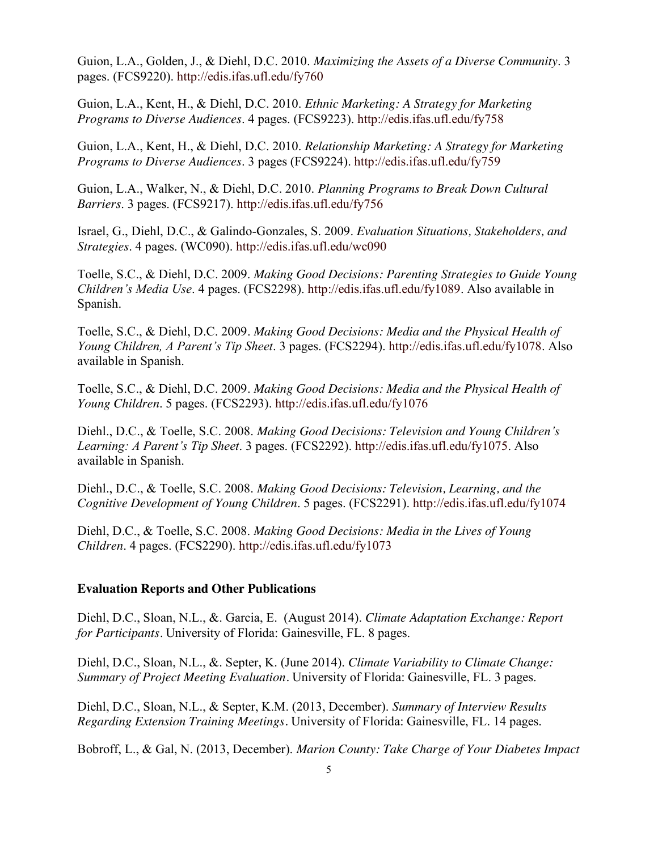Guion, L.A., Golden, J., & Diehl, D.C. 2010. *Maximizing the Assets of a Diverse Community*. 3 pages. (FCS9220).<http://edis.ifas.ufl.edu/fy760>

Guion, L.A., Kent, H., & Diehl, D.C. 2010. *Ethnic Marketing: A Strategy for Marketing Programs to Diverse Audiences*. 4 pages. (FCS9223).<http://edis.ifas.ufl.edu/fy758>

Guion, L.A., Kent, H., & Diehl, D.C. 2010. *Relationship Marketing: A Strategy for Marketing Programs to Diverse Audiences*. 3 pages (FCS9224).<http://edis.ifas.ufl.edu/fy759>

Guion, L.A., Walker, N., & Diehl, D.C. 2010. *Planning Programs to Break Down Cultural Barriers*. 3 pages. (FCS9217).<http://edis.ifas.ufl.edu/fy756>

Israel, G., Diehl, D.C., & Galindo-Gonzales, S. 2009. *Evaluation Situations, Stakeholders, and Strategies*. 4 pages. (WC090).<http://edis.ifas.ufl.edu/wc090>

Toelle, S.C., & Diehl, D.C. 2009. *Making Good Decisions: Parenting Strategies to Guide Young Children's Media Use*. 4 pages. (FCS2298). [http://edis.ifas.ufl.edu/fy1089.](http://edis.ifas.ufl.edu/fy1089) Also available in Spanish.

Toelle, S.C., & Diehl, D.C. 2009. *Making Good Decisions: Media and the Physical Health of Young Children, A Parent's Tip Sheet*. 3 pages. (FCS2294). [http://edis.ifas.ufl.edu/fy1078.](http://edis.ifas.ufl.edu/fy1078) Also available in Spanish.

Toelle, S.C., & Diehl, D.C. 2009. *Making Good Decisions: Media and the Physical Health of Young Children*. 5 pages. (FCS2293).<http://edis.ifas.ufl.edu/fy1076>

Diehl., D.C., & Toelle, S.C. 2008. *Making Good Decisions: Television and Young Children's Learning: A Parent's Tip Sheet*. 3 pages. (FCS2292). [http://edis.ifas.ufl.edu/fy1075.](http://edis.ifas.ufl.edu/fy1075) Also available in Spanish.

Diehl., D.C., & Toelle, S.C. 2008. *Making Good Decisions: Television, Learning, and the Cognitive Development of Young Children*. 5 pages. (FCS2291).<http://edis.ifas.ufl.edu/fy1074>

Diehl, D.C., & Toelle, S.C. 2008. *Making Good Decisions: Media in the Lives of Young Children*. 4 pages. (FCS2290).<http://edis.ifas.ufl.edu/fy1073>

#### **Evaluation Reports and Other Publications**

Diehl, D.C., Sloan, N.L., &. Garcia, E. (August 2014). *Climate Adaptation Exchange: Report for Participants.* University of Florida: Gainesville, FL. 8 pages.

Diehl, D.C., Sloan, N.L., &. Septer, K. (June 2014). *Climate Variability to Climate Change: Summary of Project Meeting Evaluation.* University of Florida: Gainesville, FL. 3 pages.

Diehl, D.C., Sloan, N.L., & Septer, K.M. (2013, December). *Summary of Interview Results Regarding Extension Training Meetings.* University of Florida: Gainesville, FL. 14 pages.

Bobroff, L., & Gal, N. (2013, December). *Marion County: Take Charge of Your Diabetes Impact*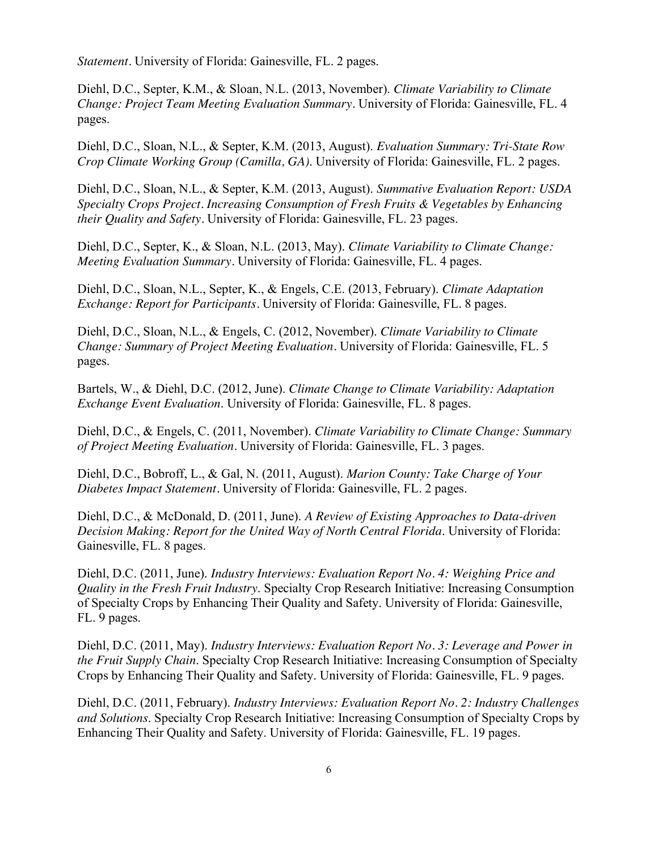*Statement.* University of Florida: Gainesville, FL. 2 pages.

Diehl, D.C., Septer, K.M., & Sloan, N.L. (2013, November). *Climate Variability to Climate Change: Project Team Meeting Evaluation Summary.* University of Florida: Gainesville, FL. 4 pages.

Diehl, D.C., Sloan, N.L., & Septer, K.M. (2013, August). *Evaluation Summary: Tri-State Row Crop Climate Working Group (Camilla, GA)*. University of Florida: Gainesville, FL. 2 pages.

Diehl, D.C., Sloan, N.L., & Septer, K.M. (2013, August). *Summative Evaluation Report: USDA Specialty Crops Project. Increasing Consumption of Fresh Fruits & Vegetables by Enhancing their Quality and Safety.* University of Florida: Gainesville, FL. 23 pages.

Diehl, D.C., Septer, K., & Sloan, N.L. (2013, May). *Climate Variability to Climate Change: Meeting Evaluation Summary.* University of Florida: Gainesville, FL. 4 pages.

Diehl, D.C., Sloan, N.L., Septer, K., & Engels, C.E. (2013, February). *Climate Adaptation Exchange: Report for Participants.* University of Florida: Gainesville, FL. 8 pages.

Diehl, D.C., Sloan, N.L., & Engels, C. (2012, November). *Climate Variability to Climate Change: Summary of Project Meeting Evaluation.* University of Florida: Gainesville, FL. 5 pages.

Bartels, W., & Diehl, D.C. (2012, June). *Climate Change to Climate Variability: Adaptation Exchange Event Evaluation*. University of Florida: Gainesville, FL. 8 pages.

Diehl, D.C., & Engels, C. (2011, November). *Climate Variability to Climate Change: Summary of Project Meeting Evaluation.* University of Florida: Gainesville, FL. 3 pages.

Diehl, D.C., Bobroff, L., & Gal, N. (2011, August). *Marion County: Take Charge of Your Diabetes Impact Statement.* University of Florida: Gainesville, FL. 2 pages.

Diehl, D.C., & McDonald, D. (2011, June). *A Review of Existing Approaches to Data-driven Decision Making: Report for the United Way of North Central Florida*. University of Florida: Gainesville, FL. 8 pages.

Diehl, D.C. (2011, June). *Industry Interviews: Evaluation Report No. 4: Weighing Price and Quality in the Fresh Fruit Industry*. Specialty Crop Research Initiative: Increasing Consumption of Specialty Crops by Enhancing Their Quality and Safety. University of Florida: Gainesville, FL. 9 pages.

Diehl, D.C. (2011, May). *Industry Interviews: Evaluation Report No. 3: Leverage and Power in the Fruit Supply Chain*. Specialty Crop Research Initiative: Increasing Consumption of Specialty Crops by Enhancing Their Quality and Safety. University of Florida: Gainesville, FL. 9 pages.

Diehl, D.C. (2011, February). *Industry Interviews: Evaluation Report No. 2: Industry Challenges and Solutions*. Specialty Crop Research Initiative: Increasing Consumption of Specialty Crops by Enhancing Their Quality and Safety. University of Florida: Gainesville, FL. 19 pages.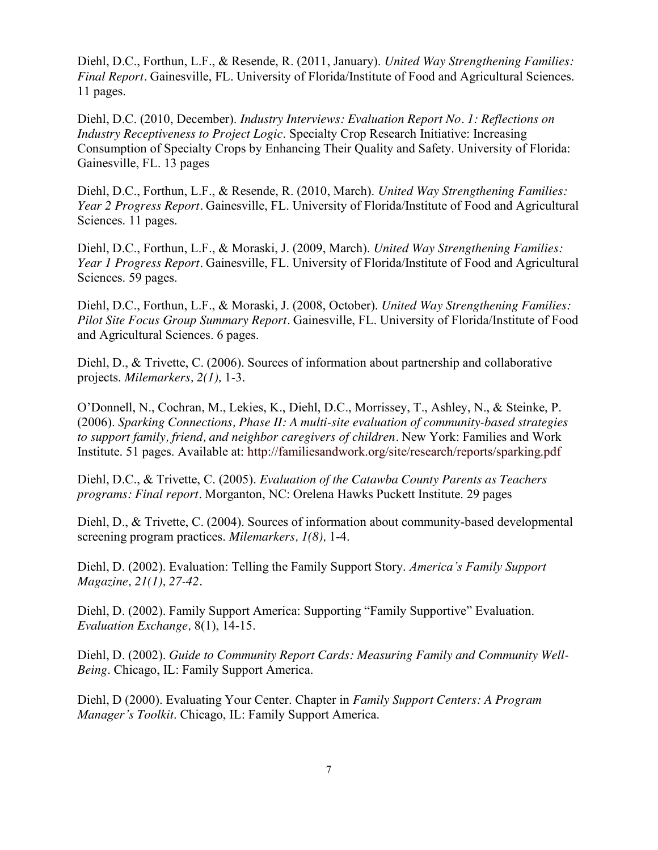Diehl, D.C., Forthun, L.F., & Resende, R. (2011, January). *United Way Strengthening Families: Final Report.* Gainesville, FL. University of Florida/Institute of Food and Agricultural Sciences. 11 pages.

Diehl, D.C. (2010, December). *Industry Interviews: Evaluation Report No. 1: Reflections on Industry Receptiveness to Project Logic*. Specialty Crop Research Initiative: Increasing Consumption of Specialty Crops by Enhancing Their Quality and Safety. University of Florida: Gainesville, FL. 13 pages

Diehl, D.C., Forthun, L.F., & Resende, R. (2010, March). *United Way Strengthening Families: Year 2 Progress Report.* Gainesville, FL. University of Florida/Institute of Food and Agricultural Sciences. 11 pages.

Diehl, D.C., Forthun, L.F., & Moraski, J. (2009, March). *United Way Strengthening Families: Year 1 Progress Report.* Gainesville, FL. University of Florida/Institute of Food and Agricultural Sciences. 59 pages.

Diehl, D.C., Forthun, L.F., & Moraski, J. (2008, October). *United Way Strengthening Families: Pilot Site Focus Group Summary Report.* Gainesville, FL. University of Florida/Institute of Food and Agricultural Sciences. 6 pages.

Diehl, D., & Trivette, C. (2006). Sources of information about partnership and collaborative projects. *Milemarkers, 2(1),* 1-3.

O'Donnell, N., Cochran, M., Lekies, K., Diehl, D.C., Morrissey, T., Ashley, N., & Steinke, P. (2006). *Sparking Connections, Phase II: A multi-site evaluation of community-based strategies to support family, friend, and neighbor caregivers of children.* New York: Families and Work Institute. 51 pages. Available at:<http://familiesandwork.org/site/research/reports/sparking.pdf>

Diehl, D.C., & Trivette, C. (2005). *Evaluation of the Catawba County Parents as Teachers programs: Final report.* Morganton, NC: Orelena Hawks Puckett Institute. 29 pages

Diehl, D., & Trivette, C. (2004). Sources of information about community-based developmental screening program practices. *Milemarkers, 1(8),* 1-4.

Diehl, D. (2002). Evaluation: Telling the Family Support Story. *America's Family Support Magazine, 21(1), 27-42.*

Diehl, D. (2002). Family Support America: Supporting "Family Supportive" Evaluation. *Evaluation Exchange,* 8(1), 14-15.

Diehl, D. (2002). *Guide to Community Report Cards: Measuring Family and Community Well-Being*. Chicago, IL: Family Support America.

Diehl, D (2000). Evaluating Your Center. Chapter in *Family Support Centers: A Program Manager's Toolkit*. Chicago, IL: Family Support America.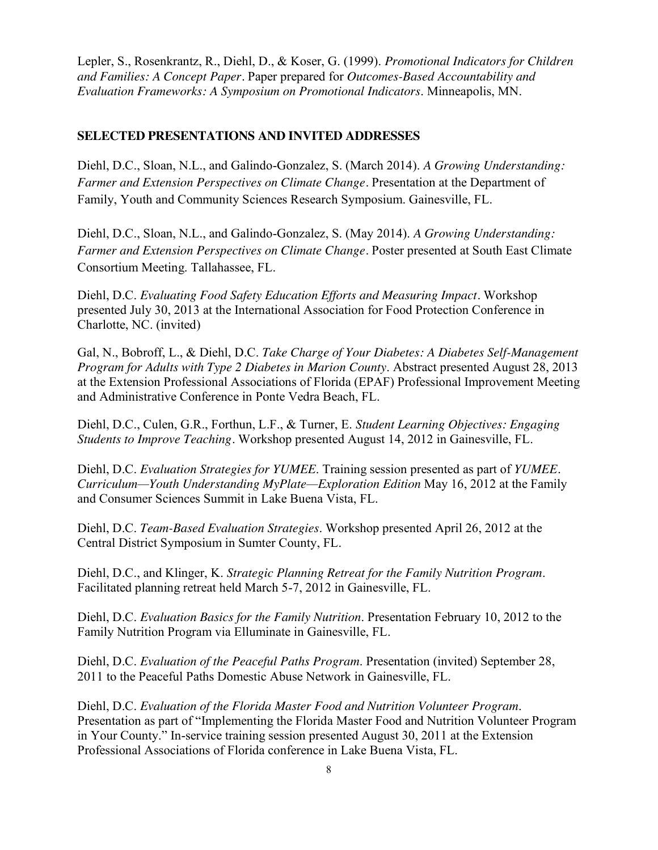Lepler, S., Rosenkrantz, R., Diehl, D., & Koser, G. (1999). *Promotional Indicators for Children and Families: A Concept Paper.* Paper prepared for *Outcomes-Based Accountability and Evaluation Frameworks: A Symposium on Promotional Indicators*. Minneapolis, MN.

# **SELECTED PRESENTATIONS AND INVITED ADDRESSES**

Diehl, D.C., Sloan, N.L., and Galindo-Gonzalez, S. (March 2014). *A Growing Understanding: Farmer and Extension Perspectives on Climate Change.* Presentation at the Department of Family, Youth and Community Sciences Research Symposium. Gainesville, FL.

Diehl, D.C., Sloan, N.L., and Galindo-Gonzalez, S. (May 2014). *A Growing Understanding: Farmer and Extension Perspectives on Climate Change.* Poster presented at South East Climate Consortium Meeting. Tallahassee, FL.

Diehl, D.C. *Evaluating Food Safety Education Efforts and Measuring Impact.* Workshop presented July 30, 2013 at the International Association for Food Protection Conference in Charlotte, NC. (invited)

Gal, N., Bobroff, L., & Diehl, D.C. *Take Charge of Your Diabetes: A Diabetes Self-Management Program for Adults with Type 2 Diabetes in Marion County*. Abstract presented August 28, 2013 at the Extension Professional Associations of Florida (EPAF) Professional Improvement Meeting and Administrative Conference in Ponte Vedra Beach, FL.

Diehl, D.C., Culen, G.R., Forthun, L.F., & Turner, E. *Student Learning Objectives: Engaging Students to Improve Teaching.* Workshop presented August 14, 2012 in Gainesville, FL.

Diehl, D.C. *Evaluation Strategies for YUMEE*. Training session presented as part of *YUMEE. Curriculum—Youth Understanding MyPlate—Exploration Edition* May 16, 2012 at the Family and Consumer Sciences Summit in Lake Buena Vista, FL.

Diehl, D.C. *Team-Based Evaluation Strategies*. Workshop presented April 26, 2012 at the Central District Symposium in Sumter County, FL.

Diehl, D.C., and Klinger, K. *Strategic Planning Retreat for the Family Nutrition Program*. Facilitated planning retreat held March 5-7, 2012 in Gainesville, FL.

Diehl, D.C. *Evaluation Basics for the Family Nutrition*. Presentation February 10, 2012 to the Family Nutrition Program via Elluminate in Gainesville, FL.

Diehl, D.C. *Evaluation of the Peaceful Paths Program*. Presentation (invited) September 28, 2011 to the Peaceful Paths Domestic Abuse Network in Gainesville, FL.

Diehl, D.C. *Evaluation of the Florida Master Food and Nutrition Volunteer Program*. Presentation as part of "Implementing the Florida Master Food and Nutrition Volunteer Program in Your County." In-service training session presented August 30, 2011 at the Extension Professional Associations of Florida conference in Lake Buena Vista, FL.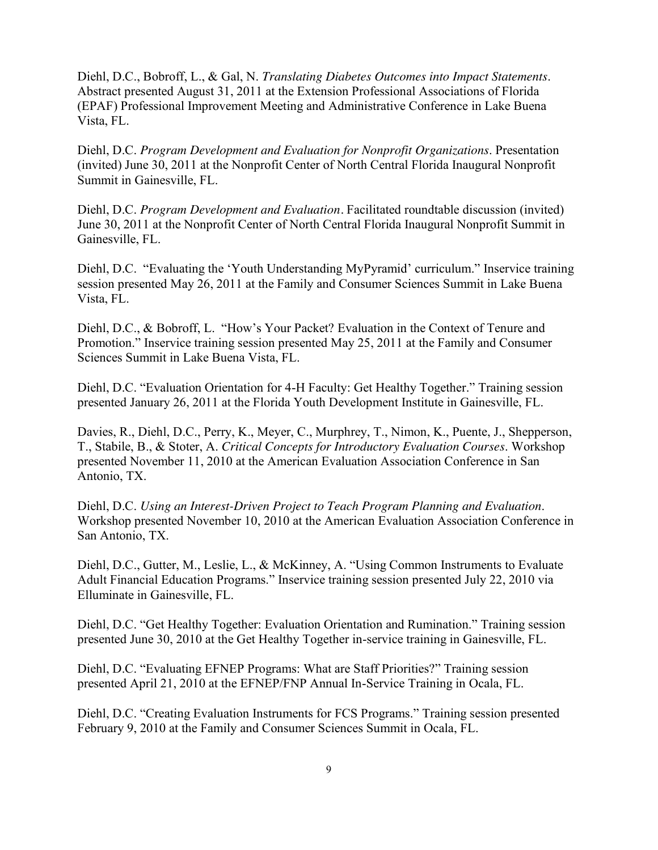Diehl, D.C., Bobroff, L., & Gal, N. *Translating Diabetes Outcomes into Impact Statements*. Abstract presented August 31, 2011 at the Extension Professional Associations of Florida (EPAF) Professional Improvement Meeting and Administrative Conference in Lake Buena Vista, FL.

Diehl, D.C. *Program Development and Evaluation for Nonprofit Organizations*. Presentation (invited) June 30, 2011 at the Nonprofit Center of North Central Florida Inaugural Nonprofit Summit in Gainesville, FL.

Diehl, D.C. *Program Development and Evaluation.* Facilitated roundtable discussion (invited) June 30, 2011 at the Nonprofit Center of North Central Florida Inaugural Nonprofit Summit in Gainesville, FL.

Diehl, D.C. "Evaluating the 'Youth Understanding MyPyramid' curriculum." Inservice training session presented May 26, 2011 at the Family and Consumer Sciences Summit in Lake Buena Vista, FL.

Diehl, D.C., & Bobroff, L. "How's Your Packet? Evaluation in the Context of Tenure and Promotion." Inservice training session presented May 25, 2011 at the Family and Consumer Sciences Summit in Lake Buena Vista, FL.

Diehl, D.C. "Evaluation Orientation for 4-H Faculty: Get Healthy Together." Training session presented January 26, 2011 at the Florida Youth Development Institute in Gainesville, FL.

Davies, R., Diehl, D.C., Perry, K., Meyer, C., Murphrey, T., Nimon, K., Puente, J., Shepperson, T., Stabile, B., & Stoter, A. *Critical Concepts for Introductory Evaluation Courses*. Workshop presented November 11, 2010 at the American Evaluation Association Conference in San Antonio, TX.

Diehl, D.C. *Using an Interest-Driven Project to Teach Program Planning and Evaluation*. Workshop presented November 10, 2010 at the American Evaluation Association Conference in San Antonio, TX.

Diehl, D.C., Gutter, M., Leslie, L., & McKinney, A. "Using Common Instruments to Evaluate Adult Financial Education Programs." Inservice training session presented July 22, 2010 via Elluminate in Gainesville, FL.

Diehl, D.C. "Get Healthy Together: Evaluation Orientation and Rumination." Training session presented June 30, 2010 at the Get Healthy Together in-service training in Gainesville, FL.

Diehl, D.C. "Evaluating EFNEP Programs: What are Staff Priorities?" Training session presented April 21, 2010 at the EFNEP/FNP Annual In-Service Training in Ocala, FL.

Diehl, D.C. "Creating Evaluation Instruments for FCS Programs." Training session presented February 9, 2010 at the Family and Consumer Sciences Summit in Ocala, FL.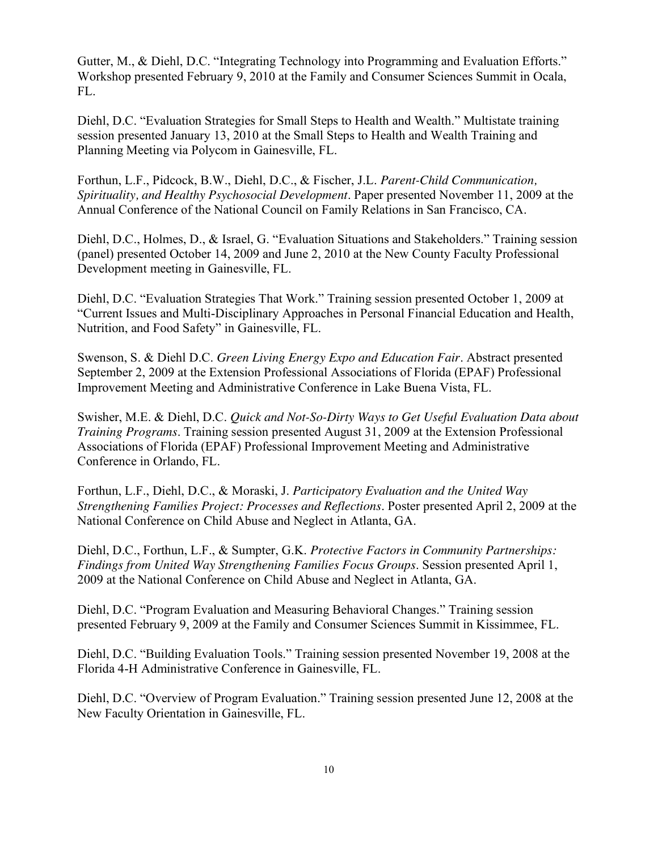Gutter, M., & Diehl, D.C. "Integrating Technology into Programming and Evaluation Efforts." Workshop presented February 9, 2010 at the Family and Consumer Sciences Summit in Ocala, FL.

Diehl, D.C. "Evaluation Strategies for Small Steps to Health and Wealth." Multistate training session presented January 13, 2010 at the Small Steps to Health and Wealth Training and Planning Meeting via Polycom in Gainesville, FL.

Forthun, L.F., Pidcock, B.W., Diehl, D.C., & Fischer, J.L. *Parent-Child Communication, Spirituality, and Healthy Psychosocial Development*. Paper presented November 11, 2009 at the Annual Conference of the National Council on Family Relations in San Francisco, CA.

Diehl, D.C., Holmes, D., & Israel, G. "Evaluation Situations and Stakeholders." Training session (panel) presented October 14, 2009 and June 2, 2010 at the New County Faculty Professional Development meeting in Gainesville, FL.

Diehl, D.C. "Evaluation Strategies That Work." Training session presented October 1, 2009 at "Current Issues and Multi-Disciplinary Approaches in Personal Financial Education and Health, Nutrition, and Food Safety" in Gainesville, FL.

Swenson, S. & Diehl D.C. *Green Living Energy Expo and Education Fair*. Abstract presented September 2, 2009 at the Extension Professional Associations of Florida (EPAF) Professional Improvement Meeting and Administrative Conference in Lake Buena Vista, FL.

Swisher, M.E. & Diehl, D.C. *Quick and Not-So-Dirty Ways to Get Useful Evaluation Data about Training Programs*. Training session presented August 31, 2009 at the Extension Professional Associations of Florida (EPAF) Professional Improvement Meeting and Administrative Conference in Orlando, FL.

Forthun, L.F., Diehl, D.C., & Moraski, J. *Participatory Evaluation and the United Way Strengthening Families Project: Processes and Reflections*. Poster presented April 2, 2009 at the National Conference on Child Abuse and Neglect in Atlanta, GA.

Diehl, D.C., Forthun, L.F., & Sumpter, G.K. *Protective Factors in Community Partnerships: Findings from United Way Strengthening Families Focus Groups*. Session presented April 1, 2009 at the National Conference on Child Abuse and Neglect in Atlanta, GA.

Diehl, D.C. "Program Evaluation and Measuring Behavioral Changes." Training session presented February 9, 2009 at the Family and Consumer Sciences Summit in Kissimmee, FL.

Diehl, D.C. "Building Evaluation Tools." Training session presented November 19, 2008 at the Florida 4-H Administrative Conference in Gainesville, FL.

Diehl, D.C. "Overview of Program Evaluation." Training session presented June 12, 2008 at the New Faculty Orientation in Gainesville, FL.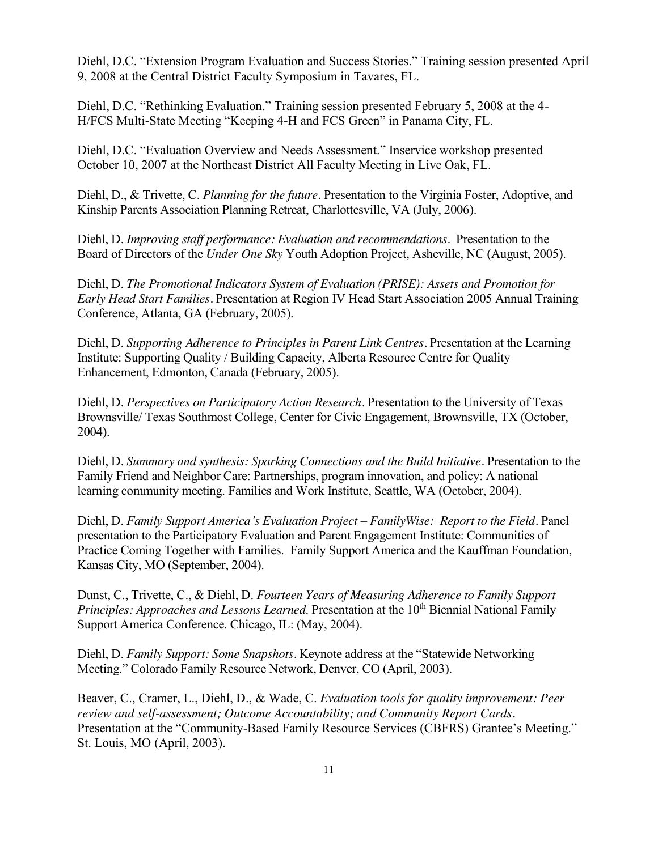Diehl, D.C. "Extension Program Evaluation and Success Stories." Training session presented April 9, 2008 at the Central District Faculty Symposium in Tavares, FL.

Diehl, D.C. "Rethinking Evaluation." Training session presented February 5, 2008 at the 4- H/FCS Multi-State Meeting "Keeping 4-H and FCS Green" in Panama City, FL.

Diehl, D.C. "Evaluation Overview and Needs Assessment." Inservice workshop presented October 10, 2007 at the Northeast District All Faculty Meeting in Live Oak, FL.

Diehl, D., & Trivette, C. *Planning for the future.* Presentation to the Virginia Foster, Adoptive, and Kinship Parents Association Planning Retreat, Charlottesville, VA (July, 2006).

Diehl, D. *Improving staff performance: Evaluation and recommendations.* Presentation to the Board of Directors of the *Under One Sky* Youth Adoption Project, Asheville, NC (August, 2005).

Diehl, D. *The Promotional Indicators System of Evaluation (PRISE): Assets and Promotion for Early Head Start Families.* Presentation at Region IV Head Start Association 2005 Annual Training Conference, Atlanta, GA (February, 2005).

Diehl, D. *Supporting Adherence to Principles in Parent Link Centres.* Presentation at the Learning Institute: Supporting Quality / Building Capacity, Alberta Resource Centre for Quality Enhancement, Edmonton, Canada (February, 2005).

Diehl, D. *Perspectives on Participatory Action Research.* Presentation to the University of Texas Brownsville/ Texas Southmost College, Center for Civic Engagement, Brownsville, TX (October, 2004).

Diehl, D. *Summary and synthesis: Sparking Connections and the Build Initiative.* Presentation to the Family Friend and Neighbor Care: Partnerships, program innovation, and policy: A national learning community meeting. Families and Work Institute, Seattle, WA (October, 2004).

Diehl, D. *Family Support America's Evaluation Project – FamilyWise: Report to the Field.* Panel presentation to the Participatory Evaluation and Parent Engagement Institute: Communities of Practice Coming Together with Families. Family Support America and the Kauffman Foundation, Kansas City, MO (September, 2004).

Dunst, C., Trivette, C., & Diehl, D. *Fourteen Years of Measuring Adherence to Family Support Principles: Approaches and Lessons Learned.* Presentation at the 10<sup>th</sup> Biennial National Family Support America Conference. Chicago, IL: (May, 2004).

Diehl, D. *Family Support: Some Snapshots.* Keynote address at the "Statewide Networking Meeting." Colorado Family Resource Network, Denver, CO (April, 2003).

Beaver, C., Cramer, L., Diehl, D., & Wade, C. *Evaluation tools for quality improvement: Peer review and self-assessment; Outcome Accountability; and Community Report Cards.*  Presentation at the "Community-Based Family Resource Services (CBFRS) Grantee's Meeting." St. Louis, MO (April, 2003).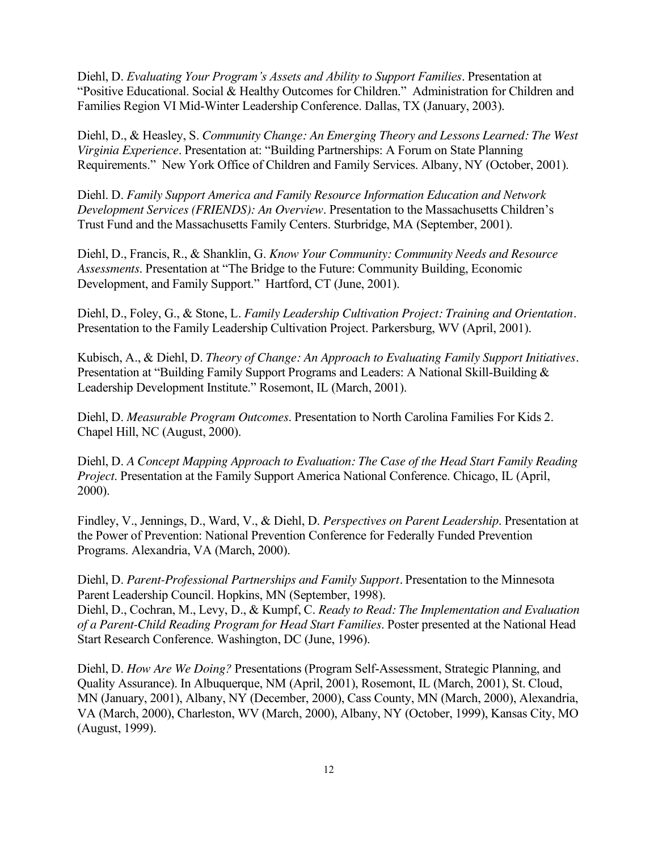Diehl, D. *Evaluating Your Program's Assets and Ability to Support Families*. Presentation at "Positive Educational. Social & Healthy Outcomes for Children." Administration for Children and Families Region VI Mid-Winter Leadership Conference. Dallas, TX (January, 2003).

Diehl, D., & Heasley, S. *Community Change: An Emerging Theory and Lessons Learned: The West Virginia Experience*. Presentation at: "Building Partnerships: A Forum on State Planning Requirements." New York Office of Children and Family Services. Albany, NY (October, 2001).

Diehl. D. *Family Support America and Family Resource Information Education and Network Development Services (FRIENDS): An Overview*. Presentation to the Massachusetts Children's Trust Fund and the Massachusetts Family Centers. Sturbridge, MA (September, 2001).

Diehl, D., Francis, R., & Shanklin, G. *Know Your Community: Community Needs and Resource Assessments*. Presentation at "The Bridge to the Future: Community Building, Economic Development, and Family Support." Hartford, CT (June, 2001).

Diehl, D., Foley, G., & Stone, L. *Family Leadership Cultivation Project: Training and Orientation.*  Presentation to the Family Leadership Cultivation Project. Parkersburg, WV (April, 2001).

Kubisch, A., & Diehl, D. *Theory of Change: An Approach to Evaluating Family Support Initiatives.*  Presentation at "Building Family Support Programs and Leaders: A National Skill-Building & Leadership Development Institute." Rosemont, IL (March, 2001).

Diehl, D. *Measurable Program Outcomes*. Presentation to North Carolina Families For Kids 2. Chapel Hill, NC (August, 2000).

Diehl, D. *A Concept Mapping Approach to Evaluation: The Case of the Head Start Family Reading Project*. Presentation at the Family Support America National Conference. Chicago, IL (April, 2000).

Findley, V., Jennings, D., Ward, V., & Diehl, D. *Perspectives on Parent Leadership*. Presentation at the Power of Prevention: National Prevention Conference for Federally Funded Prevention Programs. Alexandria, VA (March, 2000).

Diehl, D. *Parent-Professional Partnerships and Family Support.* Presentation to the Minnesota Parent Leadership Council. Hopkins, MN (September, 1998).

Diehl, D., Cochran, M., Levy, D., & Kumpf, C. *Ready to Read: The Implementation and Evaluation of a Parent-Child Reading Program for Head Start Families*. Poster presented at the National Head Start Research Conference. Washington, DC (June, 1996).

Diehl, D. *How Are We Doing?* Presentations (Program Self-Assessment, Strategic Planning, and Quality Assurance). In Albuquerque, NM (April, 2001), Rosemont, IL (March, 2001), St. Cloud, MN (January, 2001), Albany, NY (December, 2000), Cass County, MN (March, 2000), Alexandria, VA (March, 2000), Charleston, WV (March, 2000), Albany, NY (October, 1999), Kansas City, MO (August, 1999).